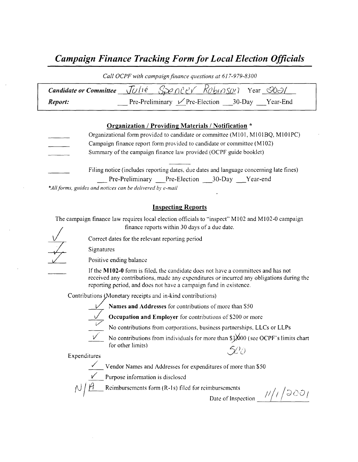# Campaign Finance Tracking Form for Local Election Officials

| Call OCPF with campaign finance questions at 61/-979-8300 |                                                                                        |  |  |  |  |  |  |
|-----------------------------------------------------------|----------------------------------------------------------------------------------------|--|--|--|--|--|--|
|                                                           | <b>Candidate or Committee</b> $\sqrt{U/1}e$ $S\gg 0$ $C\ll V$ $ROb 10S0/1$ Year $O(0)$ |  |  |  |  |  |  |
| Report:                                                   | Pre-Preliminary $\sqrt{P}$ re-Election 30-Day Year-End                                 |  |  |  |  |  |  |

#### Organization / Providing Materials/ Notification \*

- Organizational form provided to candidate or committee ( M101, M101BQ, M101PC) Campaign finance report form provided to candidate or committee ( M102) Summary of the campaign finance law provided (OCPF guide booklet)
	- Filing notice (includes reporting dates, due dates and language concerning late fines) Pre-Preliminary Pre-Election 30-Day Year-end

\*All forms, guides and notices can be delivered by e-mail

#### Inspecting Reports

The campaign finance law requires local election officials to "inspect" M102 and M102-0 campaign finance reports within 30 days of <sup>a</sup> due date.

Correct dates for the relevant reporting period

Signatures

Positive ending balance

If the M102-0 form is filed, the candidate does not have a committees and has not received any contributions, made any expenditures or incurred any obligations during the reporting period, and does not have a campaign fund in existence.

Contributions (Monetary receipts and in-kind contributions)

Names and Addresses for contributions of more than S50



Occupation and Employer for contributions of \$200 or more

No contributions from corporations, business partnerships, LLCs or LLPs

No contributions from individuals for more than  $\frac{1}{000}$  (see OCPF's limits chart for other limits)  $\mathcal{L}$  for other limits)<br>Expenditures  $\mathcal{L}$ 

Vendor Names and Addresses for expenditures of more than\$ 50

Purpose information is disclosed

 $\sqrt{1/2}$  Reimbursements form (R-1s) filed for reimbursements

Date of Inspection  $\frac{1}{\sqrt{1}}$  /  $\frac{1}{\sqrt{2}}$  00 /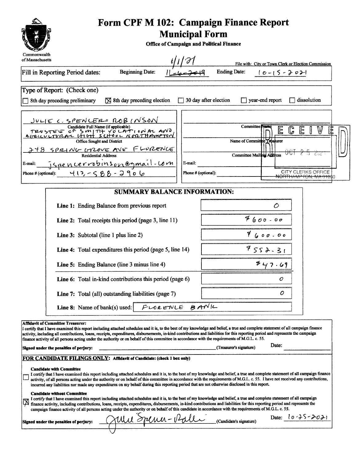| Form CPF M 102: Campaign Finance Report<br><b>Municipal Form</b><br><b>Office of Campaign and Political Finance</b>                                                                                                                                                                                                                                                                                                                                                                                                                                                                                                                                                                                                                                                                                                                                                                                              |                                                                                                                                                                                                                                                                                                                                                                                                        |  |  |  |  |  |  |
|------------------------------------------------------------------------------------------------------------------------------------------------------------------------------------------------------------------------------------------------------------------------------------------------------------------------------------------------------------------------------------------------------------------------------------------------------------------------------------------------------------------------------------------------------------------------------------------------------------------------------------------------------------------------------------------------------------------------------------------------------------------------------------------------------------------------------------------------------------------------------------------------------------------|--------------------------------------------------------------------------------------------------------------------------------------------------------------------------------------------------------------------------------------------------------------------------------------------------------------------------------------------------------------------------------------------------------|--|--|--|--|--|--|
| Commonwealth<br>of Massachusetts                                                                                                                                                                                                                                                                                                                                                                                                                                                                                                                                                                                                                                                                                                                                                                                                                                                                                 |                                                                                                                                                                                                                                                                                                                                                                                                        |  |  |  |  |  |  |
| <b>Beginning Date:</b><br>Fill in Reporting Period dates:                                                                                                                                                                                                                                                                                                                                                                                                                                                                                                                                                                                                                                                                                                                                                                                                                                                        | File with: City or Town Clerk or Election Commission<br><b>Ending Date:</b><br>$10 - 15 - 2021$                                                                                                                                                                                                                                                                                                        |  |  |  |  |  |  |
| Type of Report: (Check one)                                                                                                                                                                                                                                                                                                                                                                                                                                                                                                                                                                                                                                                                                                                                                                                                                                                                                      |                                                                                                                                                                                                                                                                                                                                                                                                        |  |  |  |  |  |  |
| $\boxtimes$ 8th day preceding election<br>8th day preceding preliminary                                                                                                                                                                                                                                                                                                                                                                                                                                                                                                                                                                                                                                                                                                                                                                                                                                          | $\Box$ 30 day after election<br>$\Box$ year-end report<br>$\Box$ dissolution                                                                                                                                                                                                                                                                                                                           |  |  |  |  |  |  |
| JULIE C. SPENCER= ROB (NSON<br>Candidate Full Name (if applicable)<br>TRUSTES OF SMITH VOCATION AL AND<br>Office Sought and District<br>248 SPRING GROVE AVE FLURENCE<br>E-mail:<br>Phone # (optional): $\forall (\exists, -\zeta \& \zeta - \zeta) \& \neg \zeta \& \zeta$                                                                                                                                                                                                                                                                                                                                                                                                                                                                                                                                                                                                                                      | <b>Committee</b> <sub>N</sub><br>$\mathbb{G}$<br>E<br>W<br>E<br>ΙŦ<br>$\mathbf{r}$<br>Name of Committee Treaturer<br>-CuZ<br><b>Committee Mailing Address</b><br>E-mail:<br><b>CITY CLERKS OFFICE</b><br>Phone # (optional):<br><del>NORTHAMP FON. MA 010</del> \$0                                                                                                                                    |  |  |  |  |  |  |
| <b>SUMMARY BALANCE INFORMATION:</b>                                                                                                                                                                                                                                                                                                                                                                                                                                                                                                                                                                                                                                                                                                                                                                                                                                                                              |                                                                                                                                                                                                                                                                                                                                                                                                        |  |  |  |  |  |  |
| Line 1: Ending Balance from previous report                                                                                                                                                                                                                                                                                                                                                                                                                                                                                                                                                                                                                                                                                                                                                                                                                                                                      | O                                                                                                                                                                                                                                                                                                                                                                                                      |  |  |  |  |  |  |
| <b>Line 2:</b> Total receipts this period (page 3, line 11)                                                                                                                                                                                                                                                                                                                                                                                                                                                                                                                                                                                                                                                                                                                                                                                                                                                      | $7600 - 00$                                                                                                                                                                                                                                                                                                                                                                                            |  |  |  |  |  |  |
| Line 3: Subtotal (line 1 plus line 2)                                                                                                                                                                                                                                                                                                                                                                                                                                                                                                                                                                                                                                                                                                                                                                                                                                                                            | 9600000                                                                                                                                                                                                                                                                                                                                                                                                |  |  |  |  |  |  |
| Line 4: Total expenditures this period (page 5, line 14)                                                                                                                                                                                                                                                                                                                                                                                                                                                                                                                                                                                                                                                                                                                                                                                                                                                         | 9552.31                                                                                                                                                                                                                                                                                                                                                                                                |  |  |  |  |  |  |
| Line 5: Ending Balance (line 3 minus line 4)                                                                                                                                                                                                                                                                                                                                                                                                                                                                                                                                                                                                                                                                                                                                                                                                                                                                     | 747.69                                                                                                                                                                                                                                                                                                                                                                                                 |  |  |  |  |  |  |
| Line 6: Total in-kind contributions this period (page 6)                                                                                                                                                                                                                                                                                                                                                                                                                                                                                                                                                                                                                                                                                                                                                                                                                                                         | O                                                                                                                                                                                                                                                                                                                                                                                                      |  |  |  |  |  |  |
| Line 7: Total (all) outstanding liabilities (page 7)                                                                                                                                                                                                                                                                                                                                                                                                                                                                                                                                                                                                                                                                                                                                                                                                                                                             | 0                                                                                                                                                                                                                                                                                                                                                                                                      |  |  |  |  |  |  |
| <b>Line 8:</b> Name of bank(s) used:                                                                                                                                                                                                                                                                                                                                                                                                                                                                                                                                                                                                                                                                                                                                                                                                                                                                             | FLORENLE BANK                                                                                                                                                                                                                                                                                                                                                                                          |  |  |  |  |  |  |
| <b>Affidavit of Committee Treasurer:</b><br>I certify that I have examined this report including attached schedules and it is, to the best of my knowledge and belief, a true and complete statement of all campaign finance<br>activity, including all contributions, loans, receipts, expenditures, disbursements, in-kind contributions and liabilities for this reporting period and represents the campaign<br>finance activity of all persons acting under the authority or on behalf of this committee in accordance with the requirements of M.G.L. c. 55.<br>Signed under the penalties of perjury:<br>FOR CANDIDATE FILINGS ONLY: Affidavit of Candidate: (check 1 box only)<br><b>Candidate with Committee</b><br>incurred any liabilities nor made any expenditures on my behalf during this reporting period that are not otherwise disclosed in this report.<br><b>Candidate without Committee</b> | Date:<br>(Treasurer's signature)<br>I certify that I have examined this report including attached schedules and it is, to the best of my knowledge and belief, a true and complete statement of all campaign finance<br>activity, of all persons acting under the authority or on behalf of this committee in accordance with the requirements of M.G.L. c. 55. I have not received any contributions, |  |  |  |  |  |  |
| I certify that I have examined this report including attached schedules and it is, to the best of my knowledge and belief, a true and complete statement of all campaign<br>finance activity, including contributions, loans, receipts, expenditures, disbursements, in-kind contributions and liabilities for this reporting period and represents the<br>campaign finance activity of all persons acting under the authority or on behalf of this candidate in accordance with the requirements of M.G.L. c. 55.<br>Date: $10 - 25 - 2021$                                                                                                                                                                                                                                                                                                                                                                     |                                                                                                                                                                                                                                                                                                                                                                                                        |  |  |  |  |  |  |
| Mu Spena-Pale<br>Signed under the penalties of perjury:                                                                                                                                                                                                                                                                                                                                                                                                                                                                                                                                                                                                                                                                                                                                                                                                                                                          | (Candidate's signature)                                                                                                                                                                                                                                                                                                                                                                                |  |  |  |  |  |  |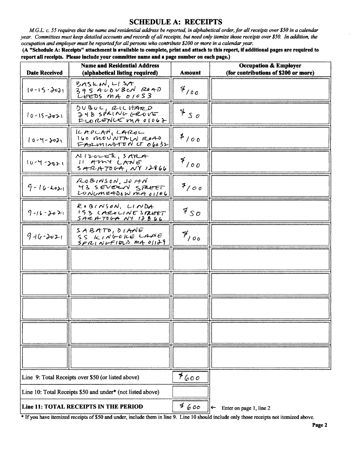## **SCHEDULE A: RECEIPTS**

M.G.L. c. 55 requires that the name and residential address be reported, in alphabetical order, for all receipts over \$50 in a calendar year. Committees must keep detailed accounts and records of all receipts, but need only itemize those receipts over \$50. In addition, the occupation and employer must be reported for all persons who contribute \$200 or more in a calendar year.

(A "Schedule A: Receipts" attachment is available to complete, print and attach to this report, if additional pages are required to report all receipts. Please include your committee name and a page number on each page.)

| <b>Date Received</b>                               | <b>Name and Residential Address</b><br>(alphabetical listing required) | <b>Amount</b> | <b>Occupation &amp; Employer</b><br>(for contributions of \$200 or more) |
|----------------------------------------------------|------------------------------------------------------------------------|---------------|--------------------------------------------------------------------------|
| $10 - 15 - 2021$                                   | BASICIN, LISA<br>395 AUDUBON ROAD<br>LEEDS $mA$ $01053$                | 4/00          |                                                                          |
| $10 - 15 - 3021$                                   | DUBUL, RICHARD<br>$748$ sPFING GROVE<br>$F_{LO}$ RENCEMA 01062         | 750           |                                                                          |
| $10 - 4 - 8021$                                    | $ICAPCARN_LCAROL$<br>160 MOUNTALN ROAD<br>$F$ ARMINTON CT 06032        | $*$ /00       |                                                                          |
| $10 - 4 - 3021$                                    | N120LEK, SMA<br>11 AMY LANE<br>$S$ ARATOGA, NY 12866                   | $f/$ 00       |                                                                          |
| $9 - 16 - 2021$                                    | RoBINSON, JOHM<br>43 SEVERN STREET<br>LONUMEADOW MA 01106              | 7/00          |                                                                          |
| $9 - 16 - 2021$                                    | ROBINSON, LINDA<br>153 CAROLINE SPREET<br>SARATOGA NY IJBUL            | 950           |                                                                          |
| $9 - 4 - 3021$                                     | SABATO, DIANE<br>SS KINGORE LANE<br>$SPALNVFIBL)$ MA $01179$           | $P_{100}$     |                                                                          |
|                                                    |                                                                        |               |                                                                          |
|                                                    |                                                                        |               |                                                                          |
|                                                    |                                                                        |               |                                                                          |
|                                                    |                                                                        |               |                                                                          |
|                                                    |                                                                        |               |                                                                          |
| Line 9: Total Receipts over \$50 (or listed above) |                                                                        | 7600          |                                                                          |
|                                                    | Line 10: Total Receipts \$50 and under* (not listed above)             |               |                                                                          |
| Line 11: TOTAL RECEIPTS IN THE PERIOD              |                                                                        | 4600          | Enter on page 1, line 2<br>←                                             |

\* If you have itemized receipts of \$50 and under, include them in line 9. Line 10 should include only those receipts not itemized above.